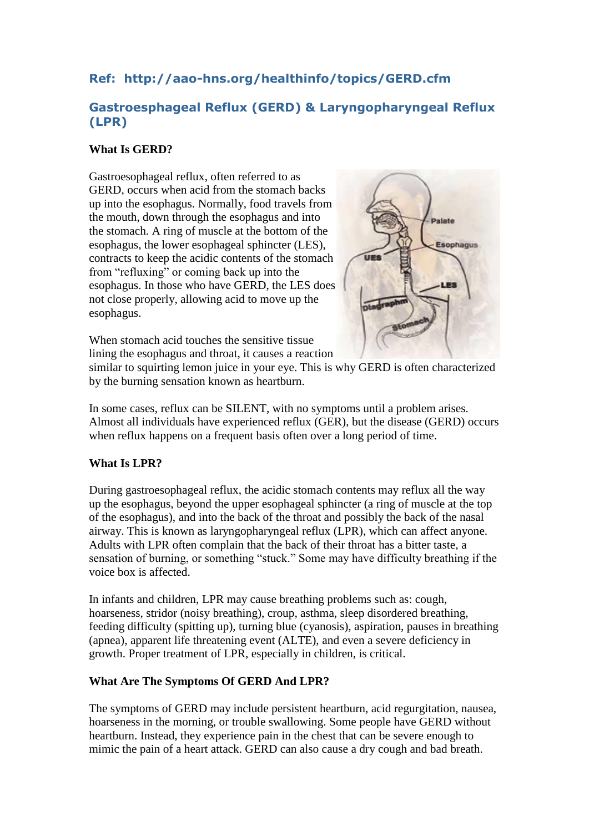# **Ref: http://aao-hns.org/healthinfo/topics/GERD.cfm**

## **Gastroesphageal Reflux (GERD) & Laryngopharyngeal Reflux (LPR)**

### **What Is GERD?**

Gastroesophageal reflux, often referred to as GERD, occurs when acid from the stomach backs up into the esophagus. Normally, food travels from the mouth, down through the esophagus and into the stomach. A ring of muscle at the bottom of the esophagus, the lower esophageal sphincter (LES), contracts to keep the acidic contents of the stomach from "refluxing" or coming back up into the esophagus. In those who have GERD, the LES does not close properly, allowing acid to move up the esophagus.



When stomach acid touches the sensitive tissue lining the esophagus and throat, it causes a reaction

similar to squirting lemon juice in your eye. This is why GERD is often characterized by the burning sensation known as heartburn.

In some cases, reflux can be SILENT, with no symptoms until a problem arises. Almost all individuals have experienced reflux (GER), but the disease (GERD) occurs when reflux happens on a frequent basis often over a long period of time.

### **What Is LPR?**

During gastroesophageal reflux, the acidic stomach contents may reflux all the way up the esophagus, beyond the upper esophageal sphincter (a ring of muscle at the top of the esophagus), and into the back of the throat and possibly the back of the nasal airway. This is known as laryngopharyngeal reflux (LPR), which can affect anyone. Adults with LPR often complain that the back of their throat has a bitter taste, a sensation of burning, or something "stuck." Some may have difficulty breathing if the voice box is affected.

In infants and children, LPR may cause breathing problems such as: cough, hoarseness, stridor (noisy breathing), croup, asthma, sleep disordered breathing, feeding difficulty (spitting up), turning blue (cyanosis), aspiration, pauses in breathing (apnea), apparent life threatening event (ALTE), and even a severe deficiency in growth. Proper treatment of LPR, especially in children, is critical.

### **What Are The Symptoms Of GERD And LPR?**

The symptoms of GERD may include persistent heartburn, acid regurgitation, nausea, hoarseness in the morning, or trouble swallowing. Some people have GERD without heartburn. Instead, they experience pain in the chest that can be severe enough to mimic the pain of a heart attack. GERD can also cause a dry cough and bad breath.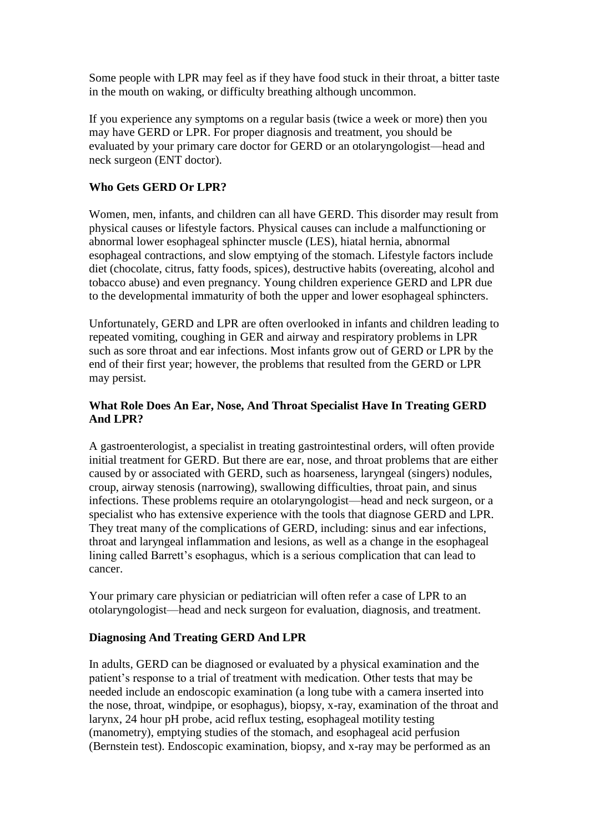Some people with LPR may feel as if they have food stuck in their throat, a bitter taste in the mouth on waking, or difficulty breathing although uncommon.

If you experience any symptoms on a regular basis (twice a week or more) then you may have GERD or LPR. For proper diagnosis and treatment, you should be evaluated by your primary care doctor for GERD or an otolaryngologist—head and neck surgeon (ENT doctor).

#### **Who Gets GERD Or LPR?**

Women, men, infants, and children can all have GERD. This disorder may result from physical causes or lifestyle factors. Physical causes can include a malfunctioning or abnormal lower esophageal sphincter muscle (LES), hiatal hernia, abnormal esophageal contractions, and slow emptying of the stomach. Lifestyle factors include diet (chocolate, citrus, fatty foods, spices), destructive habits (overeating, alcohol and tobacco abuse) and even pregnancy. Young children experience GERD and LPR due to the developmental immaturity of both the upper and lower esophageal sphincters.

Unfortunately, GERD and LPR are often overlooked in infants and children leading to repeated vomiting, coughing in GER and airway and respiratory problems in LPR such as sore throat and ear infections. Most infants grow out of GERD or LPR by the end of their first year; however, the problems that resulted from the GERD or LPR may persist.

#### **What Role Does An Ear, Nose, And Throat Specialist Have In Treating GERD And LPR?**

A gastroenterologist, a specialist in treating gastrointestinal orders, will often provide initial treatment for GERD. But there are ear, nose, and throat problems that are either caused by or associated with GERD, such as hoarseness, laryngeal (singers) nodules, croup, airway stenosis (narrowing), swallowing difficulties, throat pain, and sinus infections. These problems require an otolaryngologist—head and neck surgeon, or a specialist who has extensive experience with the tools that diagnose GERD and LPR. They treat many of the complications of GERD, including: sinus and ear infections, throat and laryngeal inflammation and lesions, as well as a change in the esophageal lining called Barrett's esophagus, which is a serious complication that can lead to cancer.

Your primary care physician or pediatrician will often refer a case of LPR to an otolaryngologist—head and neck surgeon for evaluation, diagnosis, and treatment.

#### **Diagnosing And Treating GERD And LPR**

In adults, GERD can be diagnosed or evaluated by a physical examination and the patient's response to a trial of treatment with medication. Other tests that may be needed include an endoscopic examination (a long tube with a camera inserted into the nose, throat, windpipe, or esophagus), biopsy, x-ray, examination of the throat and larynx, 24 hour pH probe, acid reflux testing, esophageal motility testing (manometry), emptying studies of the stomach, and esophageal acid perfusion (Bernstein test). Endoscopic examination, biopsy, and x-ray may be performed as an